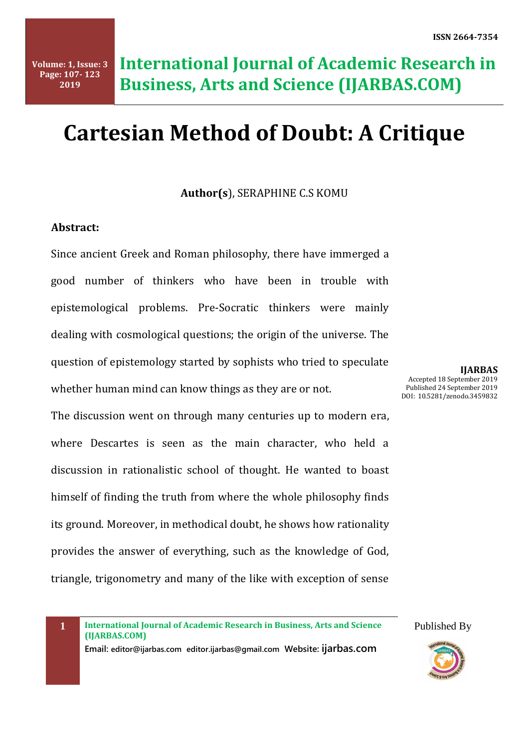# **Cartesian Method of Doubt: A Critique**

**Author(s**), SERAPHINE C.S KOMU

### **Abstract:**

Since ancient Greek and Roman philosophy, there have immerged a good number of thinkers who have been in trouble with epistemological problems. Pre-Socratic thinkers were mainly dealing with cosmological questions; the origin of the universe. The question of epistemology started by sophists who tried to speculate whether human mind can know things as they are or not.

The discussion went on through many centuries up to modern era, where Descartes is seen as the main character, who held a discussion in rationalistic school of thought. He wanted to boast himself of finding the truth from where the whole philosophy finds its ground. Moreover, in methodical doubt, he shows how rationality provides the answer of everything, such as the knowledge of God, triangle, trigonometry and many of the like with exception of sense

**IJARBAS** Accepted 18 September 2019 Published 24 September 2019 DOI: 10.5281/zenodo.3459832

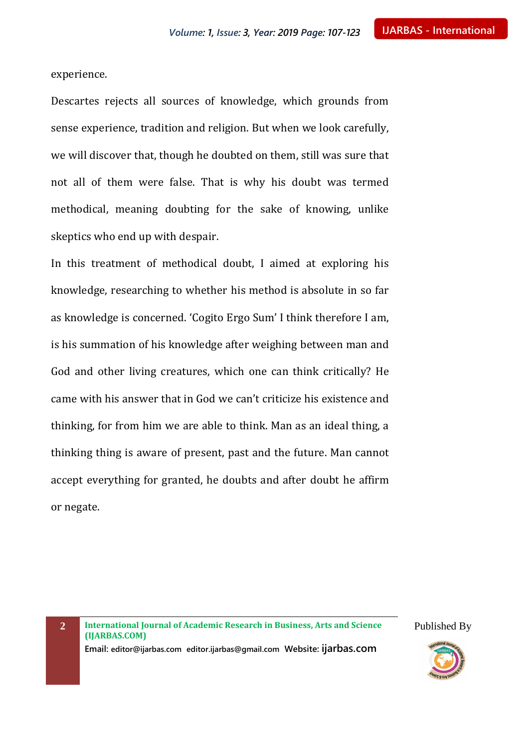experience.

Descartes rejects all sources of knowledge, which grounds from sense experience, tradition and religion. But when we look carefully, we will discover that, though he doubted on them, still was sure that not all of them were false. That is why his doubt was termed methodical, meaning doubting for the sake of knowing, unlike skeptics who end up with despair.

In this treatment of methodical doubt, I aimed at exploring his knowledge, researching to whether his method is absolute in so far as knowledge is concerned. 'Cogito Ergo Sum' I think therefore I am, is his summation of his knowledge after weighing between man and God and other living creatures, which one can think critically? He came with his answer that in God we can't criticize his existence and thinking, for from him we are able to think. Man as an ideal thing, a thinking thing is aware of present, past and the future. Man cannot accept everything for granted, he doubts and after doubt he affirm or negate.

**2 International Journal of Academic Research in Business, Arts and Science (IJARBAS.COM)**

**Email: editor@ijarbas.com editor.ijarbas@gmail.com Website: ijarbas.com**

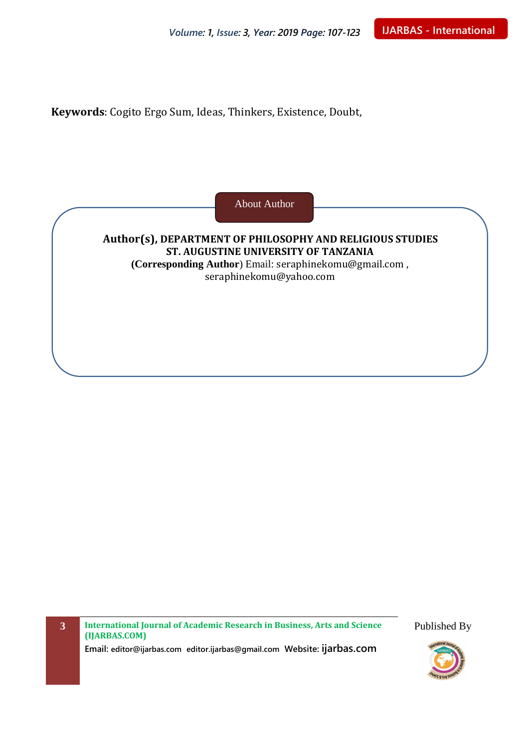**Keywords**: Cogito Ergo Sum, Ideas, Thinkers, Existence, Doubt,

About Author

**Author(s), DEPARTMENT OF PHILOSOPHY AND RELIGIOUS STUDIES ST. AUGUSTINE UNIVERSITY OF TANZANIA (Corresponding Author**) Email: [seraphinekomu@gmail.com](mailto:seraphinekomu@gmail.com) , [seraphinekomu@yahoo.com](mailto:seraphinekomu@yahoo.com)

**3 International Journal of Academic Research in Business, Arts and Science (IJARBAS.COM)**

**Email: editor@ijarbas.com editor.ijarbas@gmail.com Website: ijarbas.com**

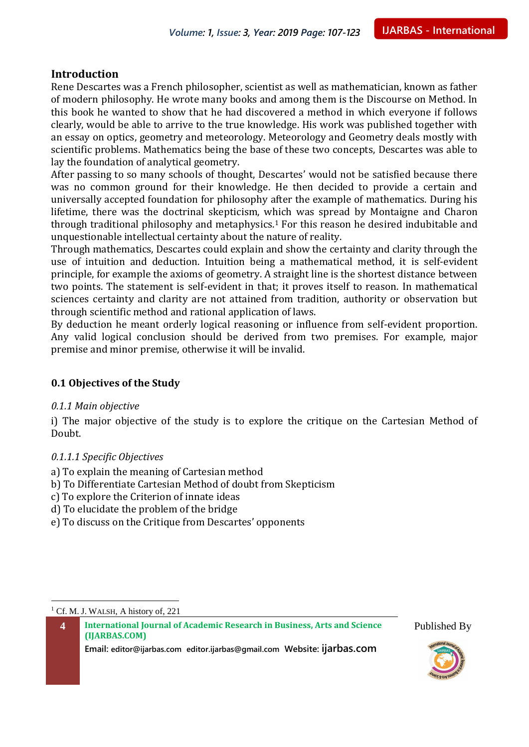### **Introduction**

Rene Descartes was a French philosopher, scientist as well as mathematician, known as father of modern philosophy. He wrote many books and among them is the Discourse on Method. In this book he wanted to show that he had discovered a method in which everyone if follows clearly, would be able to arrive to the true knowledge. His work was published together with an essay on optics, geometry and meteorology. Meteorology and Geometry deals mostly with scientific problems. Mathematics being the base of these two concepts, Descartes was able to lay the foundation of analytical geometry.

After passing to so many schools of thought, Descartes' would not be satisfied because there was no common ground for their knowledge. He then decided to provide a certain and universally accepted foundation for philosophy after the example of mathematics. During his lifetime, there was the doctrinal skepticism, which was spread by Montaigne and Charon through traditional philosophy and metaphysics. <sup>1</sup> For this reason he desired indubitable and unquestionable intellectual certainty about the nature of reality.

Through mathematics, Descartes could explain and show the certainty and clarity through the use of intuition and deduction. Intuition being a mathematical method, it is self-evident principle, for example the axioms of geometry. A straight line is the shortest distance between two points. The statement is self-evident in that; it proves itself to reason. In mathematical sciences certainty and clarity are not attained from tradition, authority or observation but through scientific method and rational application of laws.

By deduction he meant orderly logical reasoning or influence from self-evident proportion. Any valid logical conclusion should be derived from two premises. For example, major premise and minor premise, otherwise it will be invalid.

#### **0.1 Objectives of the Study**

#### *0.1.1 Main objective*

i) The major objective of the study is to explore the critique on the Cartesian Method of Doubt.

#### *0.1.1.1 Specific Objectives*

- a) To explain the meaning of Cartesian method
- b) To Differentiate Cartesian Method of doubt from Skepticism
- c) To explore the Criterion of innate ideas
- d) To elucidate the problem of the bridge
- e) To discuss on the Critique from Descartes' opponents

**4 International Journal of Academic Research in Business, Arts and Science (IJARBAS.COM)**





 $\overline{a}$ <sup>1</sup> Cf. M. J. WALSH, A history of, 221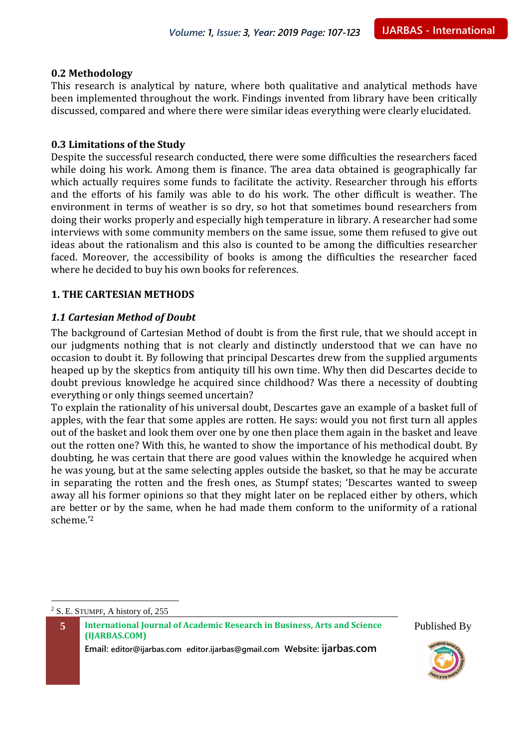#### **0.2 Methodology**

This research is analytical by nature, where both qualitative and analytical methods have been implemented throughout the work. Findings invented from library have been critically discussed, compared and where there were similar ideas everything were clearly elucidated.

#### **0.3 Limitations of the Study**

Despite the successful research conducted, there were some difficulties the researchers faced while doing his work. Among them is finance. The area data obtained is geographically far which actually requires some funds to facilitate the activity. Researcher through his efforts and the efforts of his family was able to do his work. The other difficult is weather. The environment in terms of weather is so dry, so hot that sometimes bound researchers from doing their works properly and especially high temperature in library. A researcher had some interviews with some community members on the same issue, some them refused to give out ideas about the rationalism and this also is counted to be among the difficulties researcher faced. Moreover, the accessibility of books is among the difficulties the researcher faced where he decided to buy his own books for references.

#### **1. THE CARTESIAN METHODS**

#### *1.1 Cartesian Method of Doubt*

The background of Cartesian Method of doubt is from the first rule, that we should accept in our judgments nothing that is not clearly and distinctly understood that we can have no occasion to doubt it. By following that principal Descartes drew from the supplied arguments heaped up by the skeptics from antiquity till his own time. Why then did Descartes decide to doubt previous knowledge he acquired since childhood? Was there a necessity of doubting everything or only things seemed uncertain?

To explain the rationality of his universal doubt, Descartes gave an example of a basket full of apples, with the fear that some apples are rotten. He says: would you not first turn all apples out of the basket and look them over one by one then place them again in the basket and leave out the rotten one? With this, he wanted to show the importance of his methodical doubt. By doubting, he was certain that there are good values within the knowledge he acquired when he was young, but at the same selecting apples outside the basket, so that he may be accurate in separating the rotten and the fresh ones, as Stumpf states; 'Descartes wanted to sweep away all his former opinions so that they might later on be replaced either by others, which are better or by the same, when he had made them conform to the uniformity of a rational scheme.'<sup>2</sup>

<sup>2</sup> S. E. STUMPF, A history of, 255

 $\overline{a}$ 

**5 International Journal of Academic Research in Business, Arts and Science (IJARBAS.COM)**



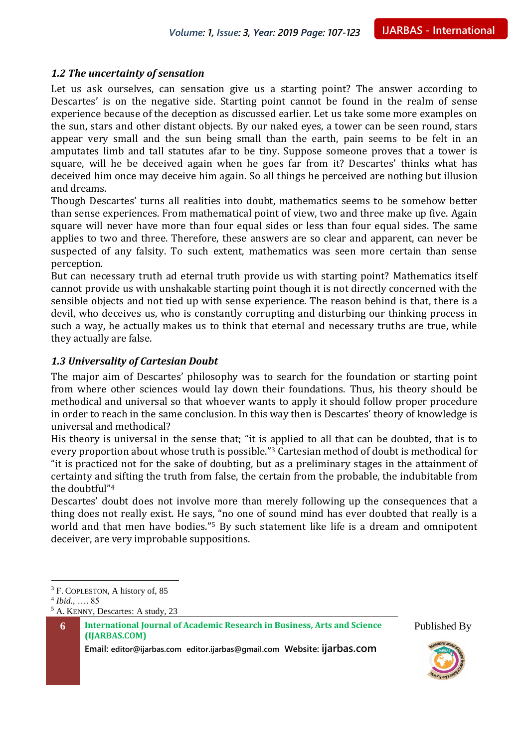#### *1.2 The uncertainty of sensation*

Let us ask ourselves, can sensation give us a starting point? The answer according to Descartes' is on the negative side. Starting point cannot be found in the realm of sense experience because of the deception as discussed earlier. Let us take some more examples on the sun, stars and other distant objects. By our naked eyes, a tower can be seen round, stars appear very small and the sun being small than the earth, pain seems to be felt in an amputates limb and tall statutes afar to be tiny. Suppose someone proves that a tower is square, will he be deceived again when he goes far from it? Descartes' thinks what has deceived him once may deceive him again. So all things he perceived are nothing but illusion and dreams.

Though Descartes' turns all realities into doubt, mathematics seems to be somehow better than sense experiences. From mathematical point of view, two and three make up five. Again square will never have more than four equal sides or less than four equal sides. The same applies to two and three. Therefore, these answers are so clear and apparent, can never be suspected of any falsity. To such extent, mathematics was seen more certain than sense perception.

But can necessary truth ad eternal truth provide us with starting point? Mathematics itself cannot provide us with unshakable starting point though it is not directly concerned with the sensible objects and not tied up with sense experience. The reason behind is that, there is a devil, who deceives us, who is constantly corrupting and disturbing our thinking process in such a way, he actually makes us to think that eternal and necessary truths are true, while they actually are false.

#### *1.3 Universality of Cartesian Doubt*

The major aim of Descartes' philosophy was to search for the foundation or starting point from where other sciences would lay down their foundations. Thus, his theory should be methodical and universal so that whoever wants to apply it should follow proper procedure in order to reach in the same conclusion. In this way then is Descartes' theory of knowledge is universal and methodical?

His theory is universal in the sense that; "it is applied to all that can be doubted, that is to every proportion about whose truth is possible."<sup>3</sup> Cartesian method of doubt is methodical for "it is practiced not for the sake of doubting, but as a preliminary stages in the attainment of certainty and sifting the truth from false, the certain from the probable, the indubitable from the doubtful"<sup>4</sup>

Descartes' doubt does not involve more than merely following up the consequences that a thing does not really exist. He says, "no one of sound mind has ever doubted that really is a world and that men have bodies."<sup>5</sup> By such statement like life is a dream and omnipotent deceiver, are very improbable suppositions.

4 *Ibid.,* …. 85

 $\overline{a}$ 





<sup>3</sup> F. COPLESTON, A history of, 85

<sup>5</sup> A. KENNY, Descartes: A study, 23

**<sup>6</sup> International Journal of Academic Research in Business, Arts and Science (IJARBAS.COM)**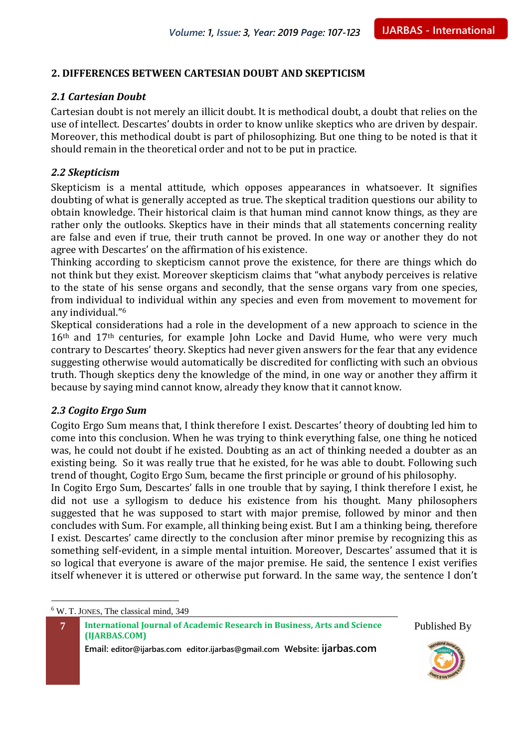#### **2. DIFFERENCES BETWEEN CARTESIAN DOUBT AND SKEPTICISM**

#### *2.1 Cartesian Doubt*

Cartesian doubt is not merely an illicit doubt. It is methodical doubt, a doubt that relies on the use of intellect. Descartes' doubts in order to know unlike skeptics who are driven by despair. Moreover, this methodical doubt is part of philosophizing. But one thing to be noted is that it should remain in the theoretical order and not to be put in practice.

#### *2.2 Skepticism*

Skepticism is a mental attitude, which opposes appearances in whatsoever. It signifies doubting of what is generally accepted as true. The skeptical tradition questions our ability to obtain knowledge. Their historical claim is that human mind cannot know things, as they are rather only the outlooks. Skeptics have in their minds that all statements concerning reality are false and even if true, their truth cannot be proved. In one way or another they do not agree with Descartes' on the affirmation of his existence.

Thinking according to skepticism cannot prove the existence, for there are things which do not think but they exist. Moreover skepticism claims that "what anybody perceives is relative to the state of his sense organs and secondly, that the sense organs vary from one species, from individual to individual within any species and even from movement to movement for any individual."<sup>6</sup>

Skeptical considerations had a role in the development of a new approach to science in the 16<sup>th</sup> and 17<sup>th</sup> centuries, for example John Locke and David Hume, who were very much contrary to Descartes' theory. Skeptics had never given answers for the fear that any evidence suggesting otherwise would automatically be discredited for conflicting with such an obvious truth. Though skeptics deny the knowledge of the mind, in one way or another they affirm it because by saying mind cannot know, already they know that it cannot know.

#### *2.3 Cogito Ergo Sum*

Cogito Ergo Sum means that, I think therefore I exist. Descartes' theory of doubting led him to come into this conclusion. When he was trying to think everything false, one thing he noticed was, he could not doubt if he existed. Doubting as an act of thinking needed a doubter as an existing being. So it was really true that he existed, for he was able to doubt. Following such trend of thought, Cogito Ergo Sum, became the first principle or ground of his philosophy.

In Cogito Ergo Sum, Descartes' falls in one trouble that by saying, I think therefore I exist, he did not use a syllogism to deduce his existence from his thought. Many philosophers suggested that he was supposed to start with major premise, followed by minor and then concludes with Sum. For example, all thinking being exist. But I am a thinking being, therefore I exist. Descartes' came directly to the conclusion after minor premise by recognizing this as something self-evident, in a simple mental intuition. Moreover, Descartes' assumed that it is so logical that everyone is aware of the major premise. He said, the sentence I exist verifies itself whenever it is uttered or otherwise put forward. In the same way, the sentence I don't

**7 International Journal of Academic Research in Business, Arts and Science (IJARBAS.COM)**

**Email: editor@ijarbas.com editor.ijarbas@gmail.com Website: ijarbas.com**



 $\overline{a}$ <sup>6</sup> W. T. JONES, The classical mind, 349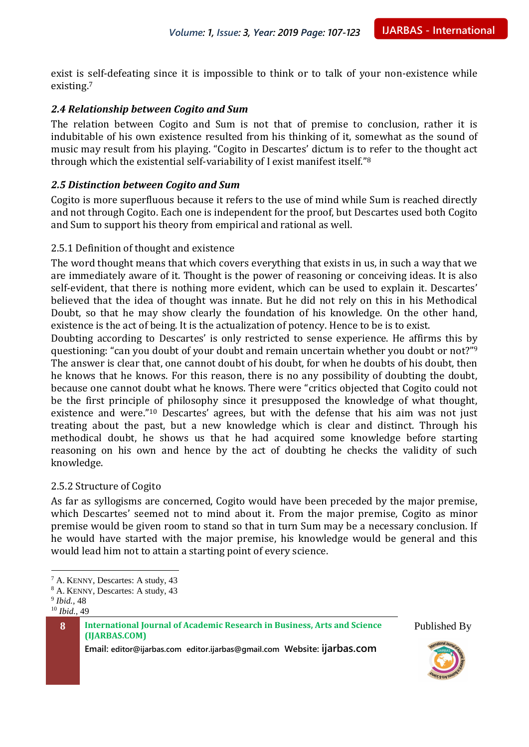exist is self-defeating since it is impossible to think or to talk of your non-existence while existing.<sup>7</sup>

#### *2.4 Relationship between Cogito and Sum*

The relation between Cogito and Sum is not that of premise to conclusion, rather it is indubitable of his own existence resulted from his thinking of it, somewhat as the sound of music may result from his playing. "Cogito in Descartes' dictum is to refer to the thought act through which the existential self-variability of I exist manifest itself."<sup>8</sup>

#### *2.5 Distinction between Cogito and Sum*

Cogito is more superfluous because it refers to the use of mind while Sum is reached directly and not through Cogito. Each one is independent for the proof, but Descartes used both Cogito and Sum to support his theory from empirical and rational as well.

#### 2.5.1 Definition of thought and existence

The word thought means that which covers everything that exists in us, in such a way that we are immediately aware of it. Thought is the power of reasoning or conceiving ideas. It is also self-evident, that there is nothing more evident, which can be used to explain it. Descartes' believed that the idea of thought was innate. But he did not rely on this in his Methodical Doubt, so that he may show clearly the foundation of his knowledge. On the other hand, existence is the act of being. It is the actualization of potency. Hence to be is to exist.

Doubting according to Descartes' is only restricted to sense experience. He affirms this by questioning: "can you doubt of your doubt and remain uncertain whether you doubt or not?"<sup>9</sup> The answer is clear that, one cannot doubt of his doubt, for when he doubts of his doubt, then he knows that he knows. For this reason, there is no any possibility of doubting the doubt, because one cannot doubt what he knows. There were "critics objected that Cogito could not be the first principle of philosophy since it presupposed the knowledge of what thought, existence and were."<sup>10</sup> Descartes' agrees, but with the defense that his aim was not just treating about the past, but a new knowledge which is clear and distinct. Through his methodical doubt, he shows us that he had acquired some knowledge before starting reasoning on his own and hence by the act of doubting he checks the validity of such knowledge.

#### 2.5.2 Structure of Cogito

As far as syllogisms are concerned, Cogito would have been preceded by the major premise, which Descartes' seemed not to mind about it. From the major premise, Cogito as minor premise would be given room to stand so that in turn Sum may be a necessary conclusion. If he would have started with the major premise, his knowledge would be general and this would lead him not to attain a starting point of every science.

9 *Ibid.,* 48

 $\overline{a}$ 

<sup>10</sup> *Ibid.,* 49

**8 International Journal of Academic Research in Business, Arts and Science (IJARBAS.COM)**





<sup>7</sup> A. KENNY, Descartes: A study, 43

<sup>8</sup> A. KENNY, Descartes: A study, 43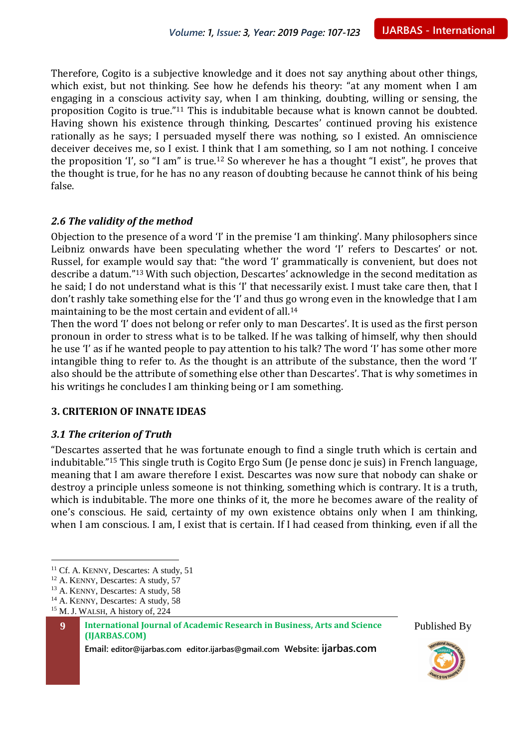Therefore, Cogito is a subjective knowledge and it does not say anything about other things, which exist, but not thinking. See how he defends his theory: "at any moment when I am engaging in a conscious activity say, when I am thinking, doubting, willing or sensing, the proposition Cogito is true."<sup>11</sup> This is indubitable because what is known cannot be doubted. Having shown his existence through thinking, Descartes' continued proving his existence rationally as he says; I persuaded myself there was nothing, so I existed. An omniscience deceiver deceives me, so I exist. I think that I am something, so I am not nothing. I conceive the proposition 'I', so "I am" is true.<sup>12</sup> So wherever he has a thought "I exist", he proves that the thought is true, for he has no any reason of doubting because he cannot think of his being false.

#### *2.6 The validity of the method*

Objection to the presence of a word 'I' in the premise 'I am thinking'. Many philosophers since Leibniz onwards have been speculating whether the word 'I' refers to Descartes' or not. Russel, for example would say that: "the word 'I' grammatically is convenient, but does not describe a datum."<sup>13</sup> With such objection, Descartes' acknowledge in the second meditation as he said; I do not understand what is this 'I' that necessarily exist. I must take care then, that I don't rashly take something else for the 'I' and thus go wrong even in the knowledge that I am maintaining to be the most certain and evident of all.<sup>14</sup>

Then the word 'I' does not belong or refer only to man Descartes'. It is used as the first person pronoun in order to stress what is to be talked. If he was talking of himself, why then should he use 'I' as if he wanted people to pay attention to his talk? The word 'I' has some other more intangible thing to refer to. As the thought is an attribute of the substance, then the word 'I' also should be the attribute of something else other than Descartes'. That is why sometimes in his writings he concludes I am thinking being or I am something.

#### **3. CRITERION OF INNATE IDEAS**

#### *3.1 The criterion of Truth*

"Descartes asserted that he was fortunate enough to find a single truth which is certain and indubitable."<sup>15</sup> This single truth is Cogito Ergo Sum (Je pense donc je suis) in French language, meaning that I am aware therefore I exist. Descartes was now sure that nobody can shake or destroy a principle unless someone is not thinking, something which is contrary. It is a truth, which is indubitable. The more one thinks of it, the more he becomes aware of the reality of one's conscious. He said, certainty of my own existence obtains only when I am thinking, when I am conscious. I am, I exist that is certain. If I had ceased from thinking, even if all the

 $\overline{a}$ 

**9 International Journal of Academic Research in Business, Arts and Science (IJARBAS.COM)**





<sup>&</sup>lt;sup>11</sup> Cf. A. KENNY, Descartes: A study, 51

<sup>&</sup>lt;sup>12</sup> A. KENNY, Descartes: A study, 57

<sup>13</sup> A. KENNY, Descartes: A study, 58

<sup>&</sup>lt;sup>14</sup> A. KENNY, Descartes: A study, 58

<sup>15</sup> M. J. WALSH, A history of, 224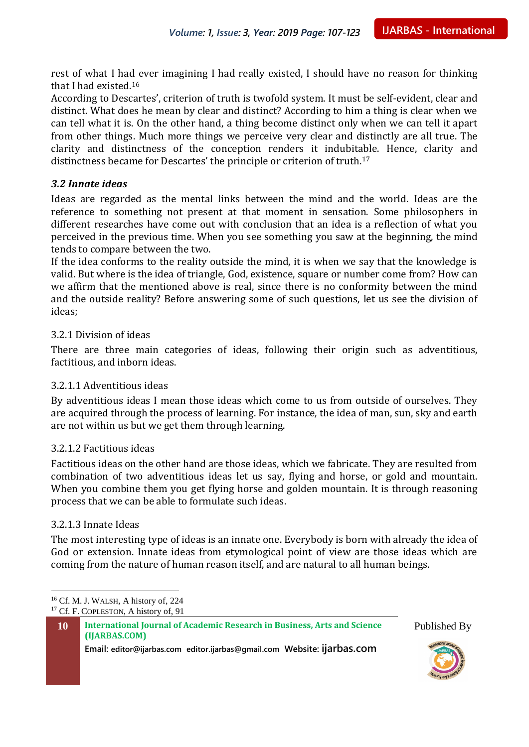rest of what I had ever imagining I had really existed, I should have no reason for thinking that I had existed.<sup>16</sup>

According to Descartes', criterion of truth is twofold system. It must be self-evident, clear and distinct. What does he mean by clear and distinct? According to him a thing is clear when we can tell what it is. On the other hand, a thing become distinct only when we can tell it apart from other things. Much more things we perceive very clear and distinctly are all true. The clarity and distinctness of the conception renders it indubitable. Hence, clarity and distinctness became for Descartes' the principle or criterion of truth.<sup>17</sup>

#### *3.2 Innate ideas*

Ideas are regarded as the mental links between the mind and the world. Ideas are the reference to something not present at that moment in sensation. Some philosophers in different researches have come out with conclusion that an idea is a reflection of what you perceived in the previous time. When you see something you saw at the beginning, the mind tends to compare between the two.

If the idea conforms to the reality outside the mind, it is when we say that the knowledge is valid. But where is the idea of triangle, God, existence, square or number come from? How can we affirm that the mentioned above is real, since there is no conformity between the mind and the outside reality? Before answering some of such questions, let us see the division of ideas;

#### 3.2.1 Division of ideas

There are three main categories of ideas, following their origin such as adventitious, factitious, and inborn ideas.

#### 3.2.1.1 Adventitious ideas

By adventitious ideas I mean those ideas which come to us from outside of ourselves. They are acquired through the process of learning. For instance, the idea of man, sun, sky and earth are not within us but we get them through learning.

#### 3.2.1.2 Factitious ideas

Factitious ideas on the other hand are those ideas, which we fabricate. They are resulted from combination of two adventitious ideas let us say, flying and horse, or gold and mountain. When you combine them you get flying horse and golden mountain. It is through reasoning process that we can be able to formulate such ideas.

#### 3.2.1.3 Innate Ideas

The most interesting type of ideas is an innate one. Everybody is born with already the idea of God or extension. Innate ideas from etymological point of view are those ideas which are coming from the nature of human reason itself, and are natural to all human beings.

 $\overline{a}$ <sup>16</sup> Cf. M. J. WALSH, A history of, 224 <sup>17</sup> Cf. F. COPLESTON, A history of, 91

**10 International Journal of Academic Research in Business, Arts and Science (IJARBAS.COM)**



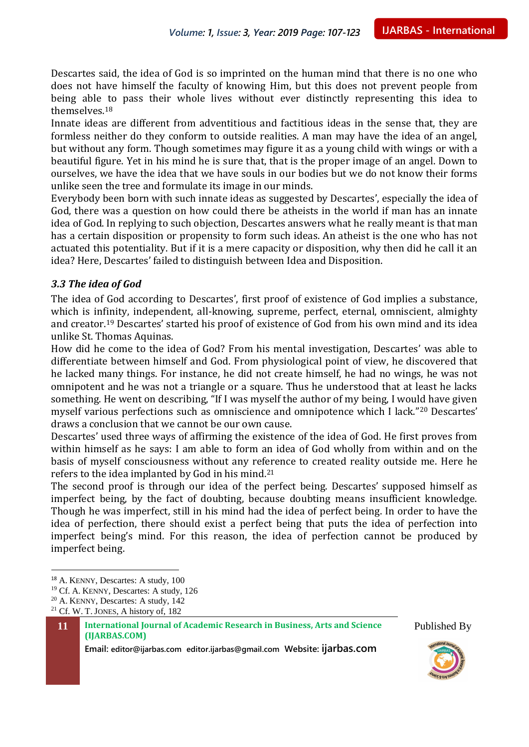Descartes said, the idea of God is so imprinted on the human mind that there is no one who does not have himself the faculty of knowing Him, but this does not prevent people from being able to pass their whole lives without ever distinctly representing this idea to themselves.<sup>18</sup>

Innate ideas are different from adventitious and factitious ideas in the sense that, they are formless neither do they conform to outside realities. A man may have the idea of an angel, but without any form. Though sometimes may figure it as a young child with wings or with a beautiful figure. Yet in his mind he is sure that, that is the proper image of an angel. Down to ourselves, we have the idea that we have souls in our bodies but we do not know their forms unlike seen the tree and formulate its image in our minds.

Everybody been born with such innate ideas as suggested by Descartes', especially the idea of God, there was a question on how could there be atheists in the world if man has an innate idea of God. In replying to such objection, Descartes answers what he really meant is that man has a certain disposition or propensity to form such ideas. An atheist is the one who has not actuated this potentiality. But if it is a mere capacity or disposition, why then did he call it an idea? Here, Descartes' failed to distinguish between Idea and Disposition.

#### *3.3 The idea of God*

The idea of God according to Descartes', first proof of existence of God implies a substance, which is infinity, independent, all-knowing, supreme, perfect, eternal, omniscient, almighty and creator.<sup>19</sup> Descartes' started his proof of existence of God from his own mind and its idea unlike St. Thomas Aquinas.

How did he come to the idea of God? From his mental investigation, Descartes' was able to differentiate between himself and God. From physiological point of view, he discovered that he lacked many things. For instance, he did not create himself, he had no wings, he was not omnipotent and he was not a triangle or a square. Thus he understood that at least he lacks something. He went on describing, "If I was myself the author of my being, I would have given myself various perfections such as omniscience and omnipotence which I lack."<sup>20</sup> Descartes' draws a conclusion that we cannot be our own cause.

Descartes' used three ways of affirming the existence of the idea of God. He first proves from within himself as he says: I am able to form an idea of God wholly from within and on the basis of myself consciousness without any reference to created reality outside me. Here he refers to the idea implanted by God in his mind.<sup>21</sup>

The second proof is through our idea of the perfect being. Descartes' supposed himself as imperfect being, by the fact of doubting, because doubting means insufficient knowledge. Though he was imperfect, still in his mind had the idea of perfect being. In order to have the idea of perfection, there should exist a perfect being that puts the idea of perfection into imperfect being's mind. For this reason, the idea of perfection cannot be produced by imperfect being.

 $\overline{a}$ 





<sup>18</sup> A. KENNY, Descartes: A study, 100

<sup>19</sup> Cf. A. KENNY, Descartes: A study, 126

<sup>20</sup> A. KENNY, Descartes: A study, 142

<sup>21</sup> Cf. W. T. JONES, A history of, 182

**<sup>11</sup> International Journal of Academic Research in Business, Arts and Science (IJARBAS.COM)**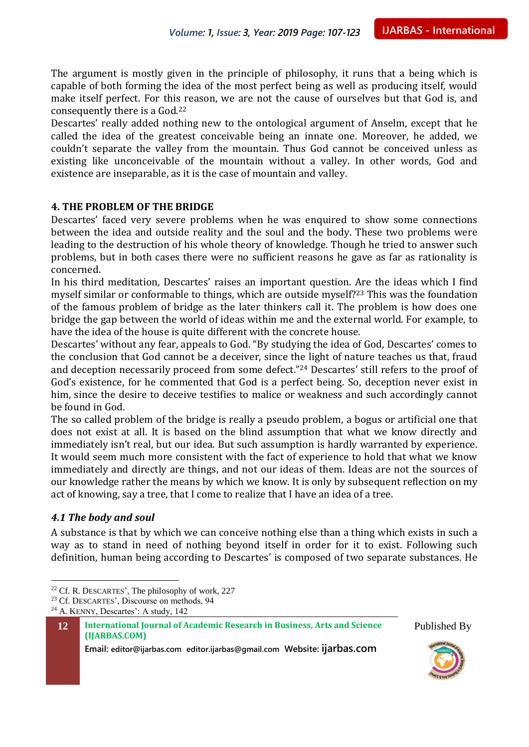The argument is mostly given in the principle of philosophy, it runs that a being which is capable of both forming the idea of the most perfect being as well as producing itself, would make itself perfect. For this reason, we are not the cause of ourselves but that God is, and consequently there is a God.<sup>22</sup>

Descartes' really added nothing new to the ontological argument of Anselm, except that he called the idea of the greatest conceivable being an innate one. Moreover, he added, we couldn't separate the valley from the mountain. Thus God cannot be conceived unless as existing like unconceivable of the mountain without a valley. In other words, God and existence are inseparable, as it is the case of mountain and valley.

#### **4. THE PROBLEM OF THE BRIDGE**

Descartes' faced very severe problems when he was enquired to show some connections between the idea and outside reality and the soul and the body. These two problems were leading to the destruction of his whole theory of knowledge. Though he tried to answer such problems, but in both cases there were no sufficient reasons he gave as far as rationality is concerned.

In his third meditation, Descartes' raises an important question. Are the ideas which I find myself similar or conformable to things, which are outside myself?<sup>23</sup> This was the foundation of the famous problem of bridge as the later thinkers call it. The problem is how does one bridge the gap between the world of ideas within me and the external world. For example, to have the idea of the house is quite different with the concrete house.

Descartes' without any fear, appeals to God. "By studying the idea of God, Descartes' comes to the conclusion that God cannot be a deceiver, since the light of nature teaches us that, fraud and deception necessarily proceed from some defect."<sup>24</sup> Descartes' still refers to the proof of God's existence, for he commented that God is a perfect being. So, deception never exist in him, since the desire to deceive testifies to malice or weakness and such accordingly cannot be found in God.

The so called problem of the bridge is really a pseudo problem, a bogus or artificial one that does not exist at all. It is based on the blind assumption that what we know directly and immediately isn't real, but our idea. But such assumption is hardly warranted by experience. It would seem much more consistent with the fact of experience to hold that what we know immediately and directly are things, and not our ideas of them. Ideas are not the sources of our knowledge rather the means by which we know. It is only by subsequent reflection on my act of knowing, say a tree, that I come to realize that I have an idea of a tree.

#### *4.1 The body and soul*

 $\overline{a}$ 

A substance is that by which we can conceive nothing else than a thing which exists in such a way as to stand in need of nothing beyond itself in order for it to exist. Following such definition, human being according to Descartes' is composed of two separate substances. He





<sup>22</sup> Cf. R. DESCARTES', The philosophy of work, 227

<sup>&</sup>lt;sup>23</sup> Cf. DESCARTES', Discourse on methods, 94

<sup>24</sup> A. KENNY, Descartes': A study, 142

**<sup>12</sup> International Journal of Academic Research in Business, Arts and Science (IJARBAS.COM)**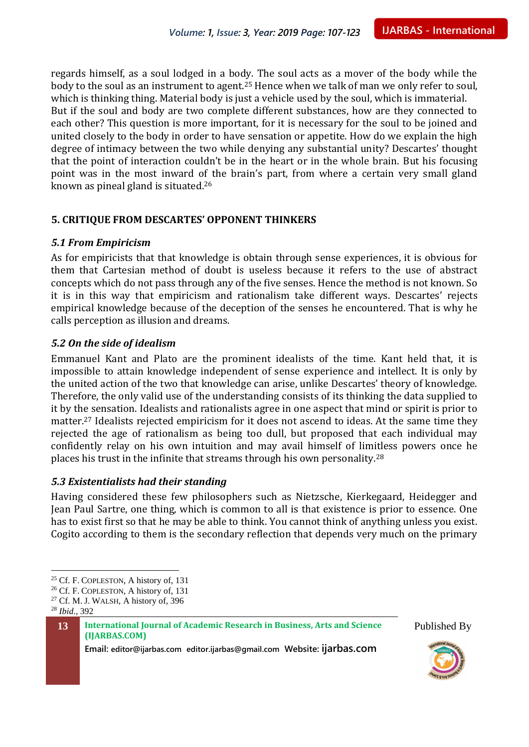regards himself, as a soul lodged in a body. The soul acts as a mover of the body while the body to the soul as an instrument to agent.<sup>25</sup> Hence when we talk of man we only refer to soul, which is thinking thing. Material body is just a vehicle used by the soul, which is immaterial. But if the soul and body are two complete different substances, how are they connected to each other? This question is more important, for it is necessary for the soul to be joined and united closely to the body in order to have sensation or appetite. How do we explain the high degree of intimacy between the two while denying any substantial unity? Descartes' thought that the point of interaction couldn't be in the heart or in the whole brain. But his focusing point was in the most inward of the brain's part, from where a certain very small gland known as pineal gland is situated.<sup>26</sup>

#### **5. CRITIQUE FROM DESCARTES' OPPONENT THINKERS**

#### *5.1 From Empiricism*

As for empiricists that that knowledge is obtain through sense experiences, it is obvious for them that Cartesian method of doubt is useless because it refers to the use of abstract concepts which do not pass through any of the five senses. Hence the method is not known. So it is in this way that empiricism and rationalism take different ways. Descartes' rejects empirical knowledge because of the deception of the senses he encountered. That is why he calls perception as illusion and dreams.

#### *5.2 On the side of idealism*

Emmanuel Kant and Plato are the prominent idealists of the time. Kant held that, it is impossible to attain knowledge independent of sense experience and intellect. It is only by the united action of the two that knowledge can arise, unlike Descartes' theory of knowledge. Therefore, the only valid use of the understanding consists of its thinking the data supplied to it by the sensation. Idealists and rationalists agree in one aspect that mind or spirit is prior to matter.<sup>27</sup> Idealists rejected empiricism for it does not ascend to ideas. At the same time they rejected the age of rationalism as being too dull, but proposed that each individual may confidently relay on his own intuition and may avail himself of limitless powers once he places his trust in the infinite that streams through his own personality.<sup>28</sup>

#### *5.3 Existentialists had their standing*

Having considered these few philosophers such as Nietzsche, Kierkegaard, Heidegger and Jean Paul Sartre, one thing, which is common to all is that existence is prior to essence. One has to exist first so that he may be able to think. You cannot think of anything unless you exist. Cogito according to them is the secondary reflection that depends very much on the primary

 $\overline{a}$ 





<sup>&</sup>lt;sup>25</sup> Cf. F. COPLESTON, A history of, 131

<sup>26</sup> Cf. F. COPLESTON, A history of, 131

 $27$  Cf. M. J. WALSH, A history of, 396

<sup>28</sup> *Ibid*., 392

**<sup>13</sup> International Journal of Academic Research in Business, Arts and Science (IJARBAS.COM)**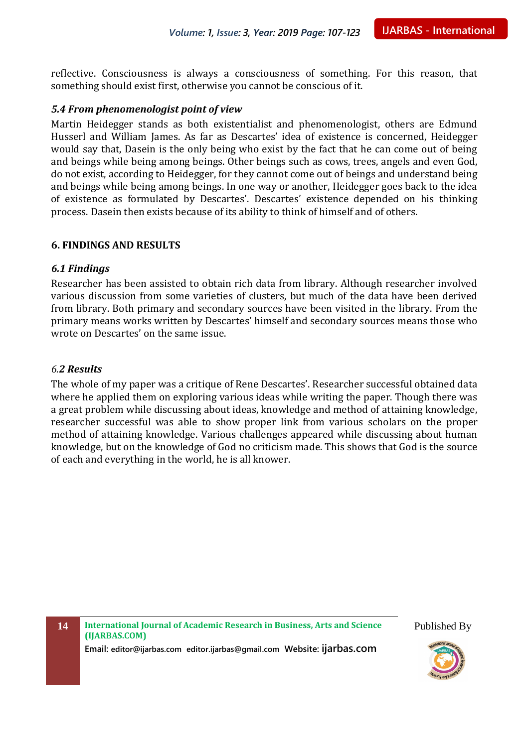reflective. Consciousness is always a consciousness of something. For this reason, that something should exist first, otherwise you cannot be conscious of it.

#### *5.4 From phenomenologist point of view*

Martin Heidegger stands as both existentialist and phenomenologist, others are Edmund Husserl and William James. As far as Descartes' idea of existence is concerned, Heidegger would say that, Dasein is the only being who exist by the fact that he can come out of being and beings while being among beings. Other beings such as cows, trees, angels and even God, do not exist, according to Heidegger, for they cannot come out of beings and understand being and beings while being among beings. In one way or another, Heidegger goes back to the idea of existence as formulated by Descartes'. Descartes' existence depended on his thinking process. Dasein then exists because of its ability to think of himself and of others.

#### **6. FINDINGS AND RESULTS**

#### *6.1 Findings*

Researcher has been assisted to obtain rich data from library. Although researcher involved various discussion from some varieties of clusters, but much of the data have been derived from library. Both primary and secondary sources have been visited in the library. From the primary means works written by Descartes' himself and secondary sources means those who wrote on Descartes' on the same issue.

#### *6.2 Results*

The whole of my paper was a critique of Rene Descartes'. Researcher successful obtained data where he applied them on exploring various ideas while writing the paper. Though there was a great problem while discussing about ideas, knowledge and method of attaining knowledge, researcher successful was able to show proper link from various scholars on the proper method of attaining knowledge. Various challenges appeared while discussing about human knowledge, but on the knowledge of God no criticism made. This shows that God is the source of each and everything in the world, he is all knower.

**14 International Journal of Academic Research in Business, Arts and Science (IJARBAS.COM)**

**Email: editor@ijarbas.com editor.ijarbas@gmail.com Website: ijarbas.com**

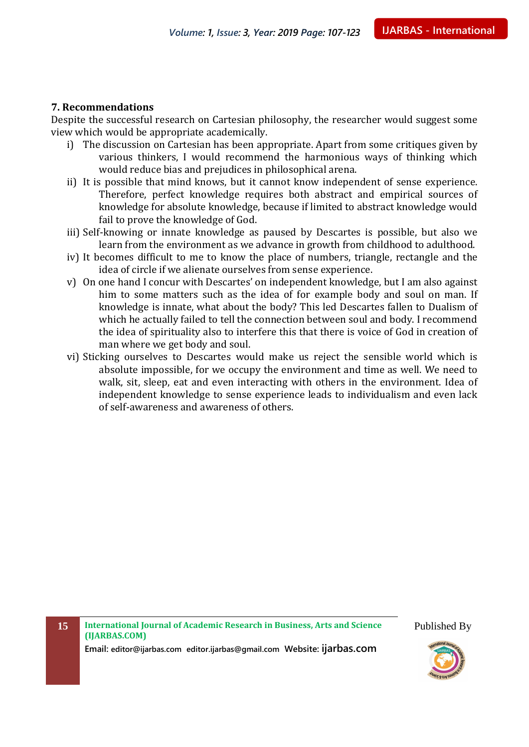#### **7. Recommendations**

Despite the successful research on Cartesian philosophy, the researcher would suggest some view which would be appropriate academically.

- i) The discussion on Cartesian has been appropriate. Apart from some critiques given by various thinkers, I would recommend the harmonious ways of thinking which would reduce bias and prejudices in philosophical arena.
- ii) It is possible that mind knows, but it cannot know independent of sense experience. Therefore, perfect knowledge requires both abstract and empirical sources of knowledge for absolute knowledge, because if limited to abstract knowledge would fail to prove the knowledge of God.
- iii) Self-knowing or innate knowledge as paused by Descartes is possible, but also we learn from the environment as we advance in growth from childhood to adulthood.
- iv) It becomes difficult to me to know the place of numbers, triangle, rectangle and the idea of circle if we alienate ourselves from sense experience.
- v) On one hand I concur with Descartes' on independent knowledge, but I am also against him to some matters such as the idea of for example body and soul on man. If knowledge is innate, what about the body? This led Descartes fallen to Dualism of which he actually failed to tell the connection between soul and body. I recommend the idea of spirituality also to interfere this that there is voice of God in creation of man where we get body and soul.
- vi) Sticking ourselves to Descartes would make us reject the sensible world which is absolute impossible, for we occupy the environment and time as well. We need to walk, sit, sleep, eat and even interacting with others in the environment. Idea of independent knowledge to sense experience leads to individualism and even lack of self-awareness and awareness of others.

**15 International Journal of Academic Research in Business, Arts and Science (IJARBAS.COM)**





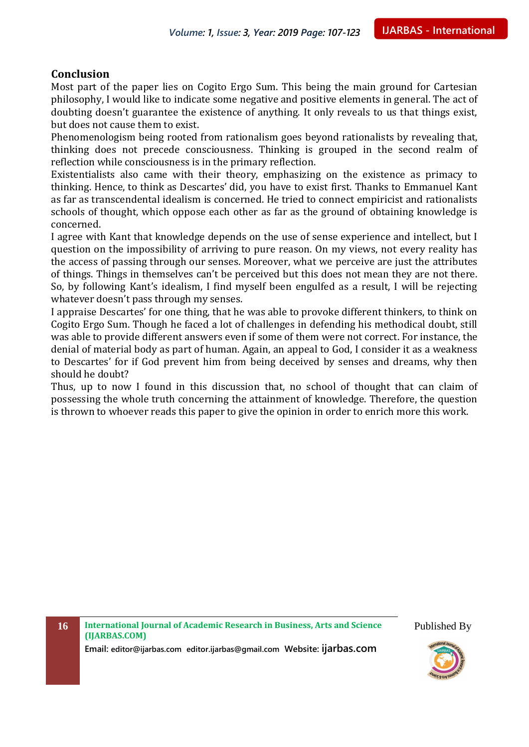#### **Conclusion**

Most part of the paper lies on Cogito Ergo Sum. This being the main ground for Cartesian philosophy, I would like to indicate some negative and positive elements in general. The act of doubting doesn't guarantee the existence of anything. It only reveals to us that things exist, but does not cause them to exist.

Phenomenologism being rooted from rationalism goes beyond rationalists by revealing that, thinking does not precede consciousness. Thinking is grouped in the second realm of reflection while consciousness is in the primary reflection.

Existentialists also came with their theory, emphasizing on the existence as primacy to thinking. Hence, to think as Descartes' did, you have to exist first. Thanks to Emmanuel Kant as far as transcendental idealism is concerned. He tried to connect empiricist and rationalists schools of thought, which oppose each other as far as the ground of obtaining knowledge is concerned.

I agree with Kant that knowledge depends on the use of sense experience and intellect, but I question on the impossibility of arriving to pure reason. On my views, not every reality has the access of passing through our senses. Moreover, what we perceive are just the attributes of things. Things in themselves can't be perceived but this does not mean they are not there. So, by following Kant's idealism, I find myself been engulfed as a result, I will be rejecting whatever doesn't pass through my senses.

I appraise Descartes' for one thing, that he was able to provoke different thinkers, to think on Cogito Ergo Sum. Though he faced a lot of challenges in defending his methodical doubt, still was able to provide different answers even if some of them were not correct. For instance, the denial of material body as part of human. Again, an appeal to God, I consider it as a weakness to Descartes' for if God prevent him from being deceived by senses and dreams, why then should he doubt?

Thus, up to now I found in this discussion that, no school of thought that can claim of possessing the whole truth concerning the attainment of knowledge. Therefore, the question is thrown to whoever reads this paper to give the opinion in order to enrich more this work.

**16 International Journal of Academic Research in Business, Arts and Science (IJARBAS.COM)**

**Email: editor@ijarbas.com editor.ijarbas@gmail.com Website: ijarbas.com**